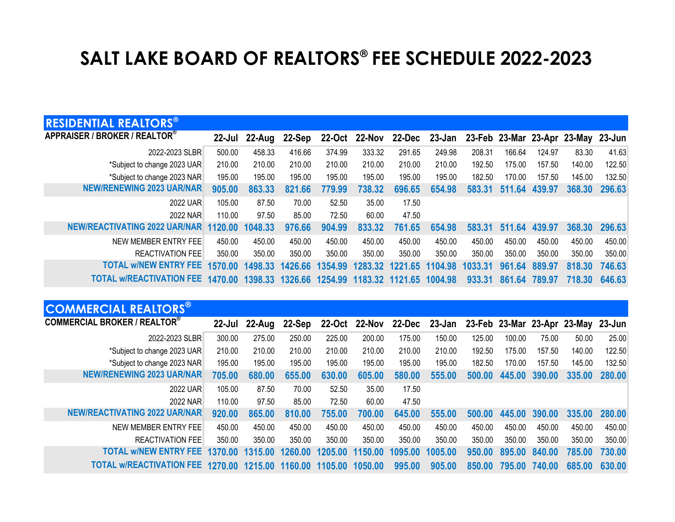## **SALT LAKE BOARD OF REALTORS® FEE SCHEDULE 2022-2023**

| <b>RESIDENTIAL REALTORS®</b>         |            |         |                         |         |                 |         |               |         |        |        |                                    |        |
|--------------------------------------|------------|---------|-------------------------|---------|-----------------|---------|---------------|---------|--------|--------|------------------------------------|--------|
| APPRAISER / BROKER / REALTOR®        | $22 -$ Jul | 22-Aug  | 22-Sep                  | 22-Oct  | 22-Nov          |         | 22-Dec 23-Jan |         |        |        | 23-Feb 23-Mar 23-Apr 23-May 23-Jun |        |
| 2022-2023 SLBR                       | 500.00     | 458.33  | 416.66                  | 374.99  | 333.32          | 291.65  | 249.98        | 208.31  | 166.64 | 124.97 | 83.30                              | 41.63  |
| *Subject to change 2023 UAR          | 210.00     | 210.00  | 210.00                  | 210.00  | 210.00          | 210.00  | 210.00        | 192.50  | 175.00 | 157.50 | 140.00                             | 122.50 |
| *Subject to change 2023 NAR          | 195.00     | 195.00  | 195.00                  | 195.00  | 195.00          | 195.00  | 195.00        | 182.50  | 170.00 | 157.50 | 145.00                             | 132.50 |
| <b>NEW/RENEWING 2023 UAR/NAR</b>     | 905.00     | 863.33  | 821.66                  | 779.99  | 738.32          | 696.65  | 654.98        | 583.31  | 511.64 | 439.97 | 368,30                             | 296.63 |
| 2022 UAR                             | 105.00     | 87.50   | 70.00                   | 52.50   | 35.00           | 17.50   |               |         |        |        |                                    |        |
| 2022 NAR                             | 110.00     | 97.50   | 85.00                   | 72.50   | 60.00           | 47.50   |               |         |        |        |                                    |        |
| <b>NEW/REACTIVATING 2022 UAR/NAR</b> | 1120.00    | 1048.33 | 976.66                  | 904.99  | 833.32          | 761.65  | 654.98        | 583.31  | 511.64 | 439.97 | 368,30                             | 296.63 |
| NEW MEMBER ENTRY FEE                 | 450.00     | 450.00  | 450.00                  | 450.00  | 450.00          | 450.00  | 450.00        | 450.00  | 450.00 | 450.00 | 450.00                             | 450.00 |
| <b>REACTIVATION FEE</b>              | 350.00     | 350.00  | 350.00                  | 350.00  | 350.00          | 350.00  | 350.00        | 350.00  | 350.00 | 350.00 | 350.00                             | 350.00 |
| <b>TOTAL W/NEW ENTRY FEE</b>         | 1570.00    | 1498.33 | 1426.66                 | 1354.99 | 1283.32         | 1221.65 | 1104.98       | 1033.31 | 961.64 | 889.97 | 818.30                             | 746.63 |
| <b>TOTAL W/REACTIVATION FEE</b>      | 1470.00    |         | 1398.33 1326.66 1254.99 |         | 1183.32 1121.65 |         | 1004.98       | 933.31  | 861.64 | 789.97 | 718.30                             | 646.63 |

| <b>COMMERCIAL REALTORS®</b>          |                 |        |         |         |               |         |               |        |        |        |                                    |        |
|--------------------------------------|-----------------|--------|---------|---------|---------------|---------|---------------|--------|--------|--------|------------------------------------|--------|
| <b>COMMERCIAL BROKER / REALTOR®</b>  | 22-Jul          | 22-Aug | 22-Sep  |         | 22-Oct 22-Nov |         | 22-Dec 23-Jan |        |        |        | 23-Feb 23-Mar 23-Apr 23-May 23-Jun |        |
| 2022-2023 SLBR                       | 300.00          | 275.00 | 250.00  | 225.00  | 200.00        | 175.00  | 150.00        | 125.00 | 100.00 | 75.00  | 50.00                              | 25.00  |
| *Subject to change 2023 UAR          | 210.00          | 210.00 | 210.00  | 210.00  | 210.00        | 210.00  | 210.00        | 192.50 | 175.00 | 157.50 | 140.00                             | 122.50 |
| *Subject to change 2023 NAR          | 195.00          | 195.00 | 195.00  | 195.00  | 195.00        | 195.00  | 195.00        | 182.50 | 170.00 | 157.50 | 145.00                             | 132.50 |
| <b>NEW/RENEWING 2023 UAR/NAR</b>     | 705.00          | 680.00 | 655.00  | 630.00  | 605.00        | 580.00  | 555.00        | 500.00 | 445.00 | 390.00 | 335.00                             | 280.00 |
| 2022 UAR                             | 105.00          | 87.50  | 70.00   | 52.50   | 35.00         | 17.50   |               |        |        |        |                                    |        |
| 2022 NAR                             | 110.00          | 97.50  | 85.00   | 72.50   | 60.00         | 47.50   |               |        |        |        |                                    |        |
| <b>NEW/REACTIVATING 2022 UAR/NAR</b> | 920.00          | 865.00 | 810.00  | 755.00  | 700.00        | 645.00  | 555.00        | 500.00 | 445.00 | 390.00 | 335.00                             | 280,00 |
| NEW MEMBER ENTRY FEE                 | 450.00          | 450.00 | 450.00  | 450.00  | 450.00        | 450.00  | 450.00        | 450.00 | 450.00 | 450.00 | 450.00                             | 450.00 |
| <b>REACTIVATION FEE</b>              | 350.00          | 350.00 | 350.00  | 350.00  | 350.00        | 350.00  | 350.00        | 350.00 | 350.00 | 350.00 | 350.00                             | 350.00 |
| <b>TOTAL W/NEW ENTRY FEE</b>         | 1370.00 1315.00 |        | 1260.00 | 1205.00 | 1150.00       | 1095.00 | 1005.00       | 950.00 | 895.00 | 840.00 | 785.00                             | 730.00 |
| <b>TOTAL w/REACTIVATION FEE</b>      | 1270.00 1215.00 |        | 1160.00 | 1105.00 | 1050.00       | 995.00  | 905.00        | 850.00 | 795.00 | 740.00 | 685.00                             | 630.00 |